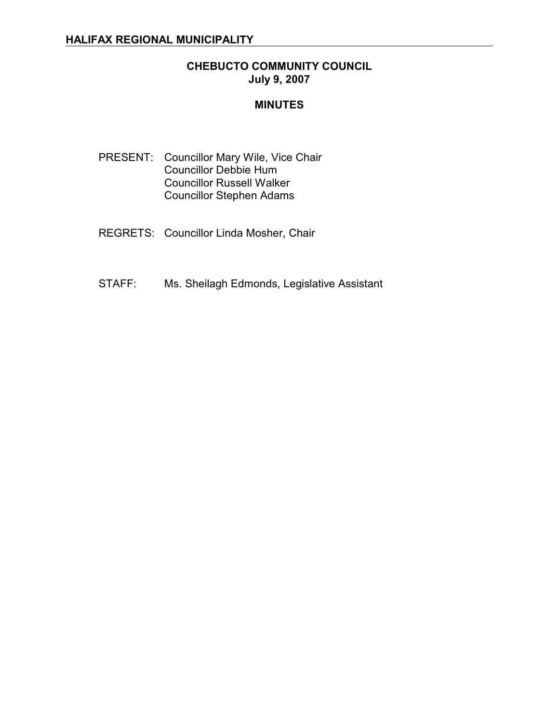#### **CHEBUCTO COMMUNITY COUNCIL July 9, 2007**

#### **MINUTES**

- PRESENT: Councillor Mary Wile, Vice Chair Councillor Debbie Hum Councillor Russell Walker Councillor Stephen Adams
- REGRETS: Councillor Linda Mosher, Chair
- STAFF: Ms. Sheilagh Edmonds, Legislative Assistant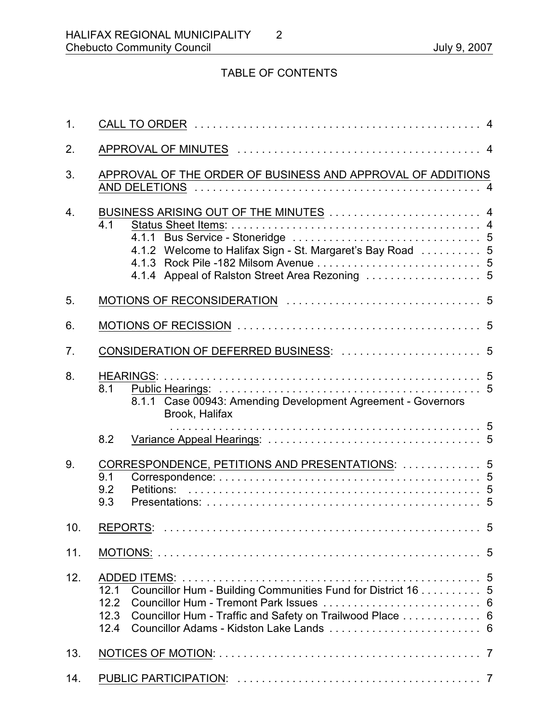# TABLE OF CONTENTS

| 1.               |                                                                                                                                                          |  |
|------------------|----------------------------------------------------------------------------------------------------------------------------------------------------------|--|
| 2.               |                                                                                                                                                          |  |
| 3.               | APPROVAL OF THE ORDER OF BUSINESS AND APPROVAL OF ADDITIONS                                                                                              |  |
| $\overline{4}$ . | BUSINESS ARISING OUT OF THE MINUTES  4<br>4.1<br>4.1.2 Welcome to Halifax Sign - St. Margaret's Bay Road  5                                              |  |
| 5.               |                                                                                                                                                          |  |
| 6.               |                                                                                                                                                          |  |
| 7.               | CONSIDERATION OF DEFERRED BUSINESS:  5                                                                                                                   |  |
| 8.               | 8.1<br>8.1.1 Case 00943: Amending Development Agreement - Governors<br>Brook, Halifax                                                                    |  |
|                  | 8.2                                                                                                                                                      |  |
| 9.               | CORRESPONDENCE, PETITIONS AND PRESENTATIONS:  5<br>9.1<br>9.2<br>Petitions:<br>9.3                                                                       |  |
| 10.              |                                                                                                                                                          |  |
| 11.              |                                                                                                                                                          |  |
| 12.              | Councillor Hum - Building Communities Fund for District 16 5<br>12.1<br>12.2<br>Councillor Hum - Traffic and Safety on Trailwood Place 6<br>12.3<br>12.4 |  |
| 13.              |                                                                                                                                                          |  |
| 14.              |                                                                                                                                                          |  |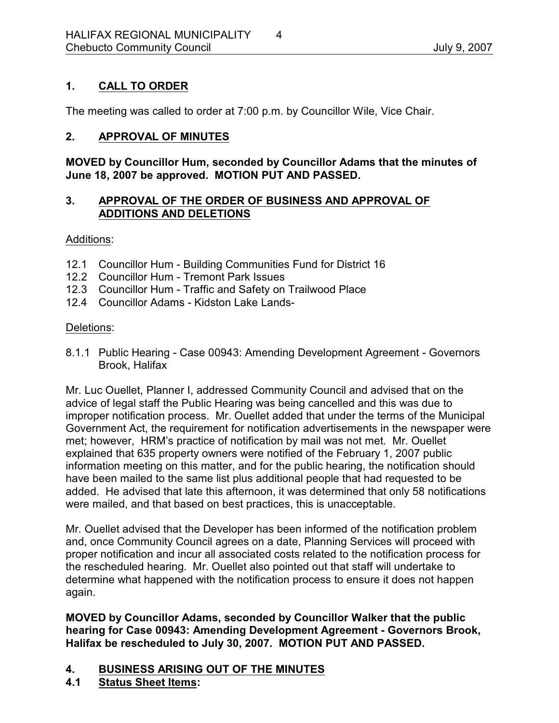# **1. CALL TO ORDER**

The meeting was called to order at 7:00 p.m. by Councillor Wile, Vice Chair.

#### **2. APPROVAL OF MINUTES**

**MOVED by Councillor Hum, seconded by Councillor Adams that the minutes of June 18, 2007 be approved. MOTION PUT AND PASSED.**

#### **3. APPROVAL OF THE ORDER OF BUSINESS AND APPROVAL OF ADDITIONS AND DELETIONS**

Additions:

- 12.1 Councillor Hum Building Communities Fund for District 16
- 12.2 Councillor Hum Tremont Park Issues
- 12.3 Councillor Hum Traffic and Safety on Trailwood Place
- 12.4 Councillor Adams Kidston Lake Lands-

#### Deletions:

8.1.1 Public Hearing - Case 00943: Amending Development Agreement - Governors Brook, Halifax

Mr. Luc Ouellet, Planner I, addressed Community Council and advised that on the advice of legal staff the Public Hearing was being cancelled and this was due to improper notification process. Mr. Ouellet added that under the terms of the Municipal Government Act, the requirement for notification advertisements in the newspaper were met; however, HRM's practice of notification by mail was not met. Mr. Ouellet explained that 635 property owners were notified of the February 1, 2007 public information meeting on this matter, and for the public hearing, the notification should have been mailed to the same list plus additional people that had requested to be added. He advised that late this afternoon, it was determined that only 58 notifications were mailed, and that based on best practices, this is unacceptable.

Mr. Ouellet advised that the Developer has been informed of the notification problem and, once Community Council agrees on a date, Planning Services will proceed with proper notification and incur all associated costs related to the notification process for the rescheduled hearing. Mr. Ouellet also pointed out that staff will undertake to determine what happened with the notification process to ensure it does not happen again.

**MOVED by Councillor Adams, seconded by Councillor Walker that the public hearing for Case 00943: Amending Development Agreement - Governors Brook, Halifax be rescheduled to July 30, 2007. MOTION PUT AND PASSED.**

- **4. BUSINESS ARISING OUT OF THE MINUTES**
- **4.1 Status Sheet Items:**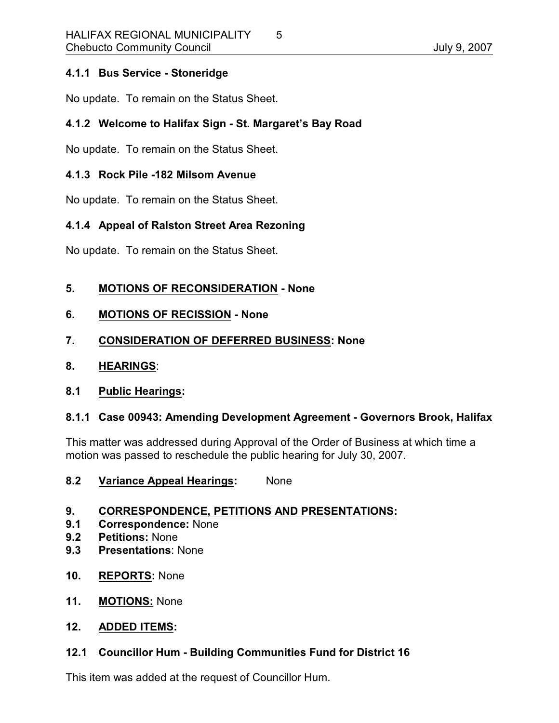### **4.1.1 Bus Service - Stoneridge**

No update. To remain on the Status Sheet.

# **4.1.2 Welcome to Halifax Sign - St. Margaret's Bay Road**

No update. To remain on the Status Sheet.

#### **4.1.3 Rock Pile -182 Milsom Avenue**

No update. To remain on the Status Sheet.

# **4.1.4 Appeal of Ralston Street Area Rezoning**

No update. To remain on the Status Sheet.

### **5. MOTIONS OF RECONSIDERATION - None**

**6. MOTIONS OF RECISSION - None**

### **7. CONSIDERATION OF DEFERRED BUSINESS: None**

**8. HEARINGS**:

### **8.1 Public Hearings:**

### **8.1.1 Case 00943: Amending Development Agreement - Governors Brook, Halifax**

This matter was addressed during Approval of the Order of Business at which time a motion was passed to reschedule the public hearing for July 30, 2007.

**8.2 Variance Appeal Hearings:** None

### **9. CORRESPONDENCE, PETITIONS AND PRESENTATIONS:**

- **9.1 Correspondence:** None
- **9.2 Petitions:** None
- **9.3 Presentations**: None
- **10. REPORTS:** None
- **11. MOTIONS:** None

#### **12. ADDED ITEMS:**

### **12.1 Councillor Hum - Building Communities Fund for District 16**

This item was added at the request of Councillor Hum.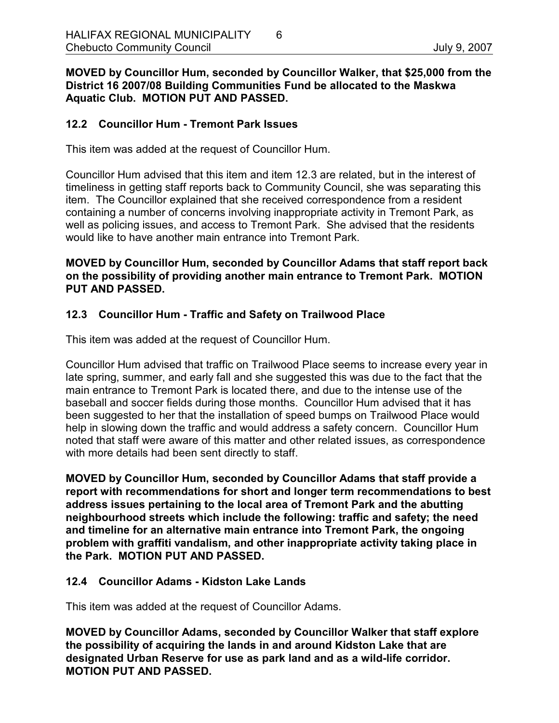**MOVED by Councillor Hum, seconded by Councillor Walker, that \$25,000 from the District 16 2007/08 Building Communities Fund be allocated to the Maskwa Aquatic Club. MOTION PUT AND PASSED.**

#### **12.2 Councillor Hum - Tremont Park Issues**

This item was added at the request of Councillor Hum.

Councillor Hum advised that this item and item 12.3 are related, but in the interest of timeliness in getting staff reports back to Community Council, she was separating this item. The Councillor explained that she received correspondence from a resident containing a number of concerns involving inappropriate activity in Tremont Park, as well as policing issues, and access to Tremont Park. She advised that the residents would like to have another main entrance into Tremont Park.

#### **MOVED by Councillor Hum, seconded by Councillor Adams that staff report back on the possibility of providing another main entrance to Tremont Park. MOTION PUT AND PASSED.**

### **12.3 Councillor Hum - Traffic and Safety on Trailwood Place**

This item was added at the request of Councillor Hum.

Councillor Hum advised that traffic on Trailwood Place seems to increase every year in late spring, summer, and early fall and she suggested this was due to the fact that the main entrance to Tremont Park is located there, and due to the intense use of the baseball and soccer fields during those months. Councillor Hum advised that it has been suggested to her that the installation of speed bumps on Trailwood Place would help in slowing down the traffic and would address a safety concern. Councillor Hum noted that staff were aware of this matter and other related issues, as correspondence with more details had been sent directly to staff.

**MOVED by Councillor Hum, seconded by Councillor Adams that staff provide a report with recommendations for short and longer term recommendations to best address issues pertaining to the local area of Tremont Park and the abutting neighbourhood streets which include the following: traffic and safety; the need and timeline for an alternative main entrance into Tremont Park, the ongoing problem with graffiti vandalism, and other inappropriate activity taking place in the Park. MOTION PUT AND PASSED.**

#### **12.4 Councillor Adams - Kidston Lake Lands**

This item was added at the request of Councillor Adams.

**MOVED by Councillor Adams, seconded by Councillor Walker that staff explore the possibility of acquiring the lands in and around Kidston Lake that are designated Urban Reserve for use as park land and as a wild-life corridor. MOTION PUT AND PASSED.**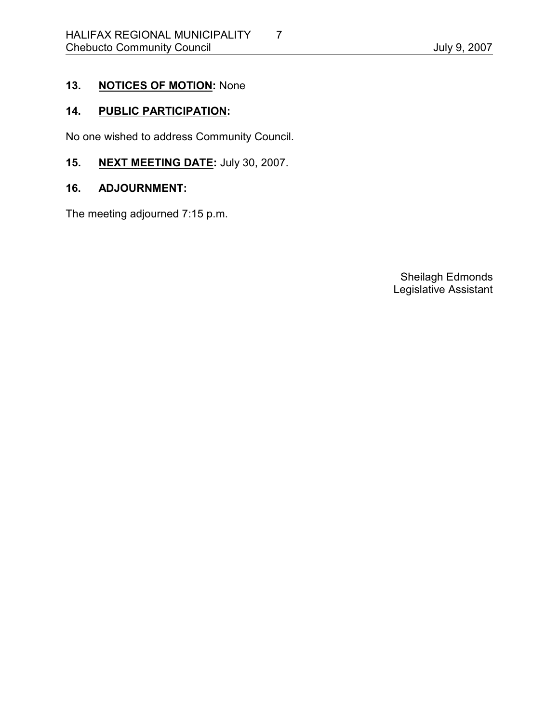# **13. NOTICES OF MOTION:** None

# **14. PUBLIC PARTICIPATION:**

No one wished to address Community Council.

**15. NEXT MEETING DATE:** July 30, 2007.

# **16. ADJOURNMENT:**

The meeting adjourned 7:15 p.m.

Sheilagh Edmonds Legislative Assistant